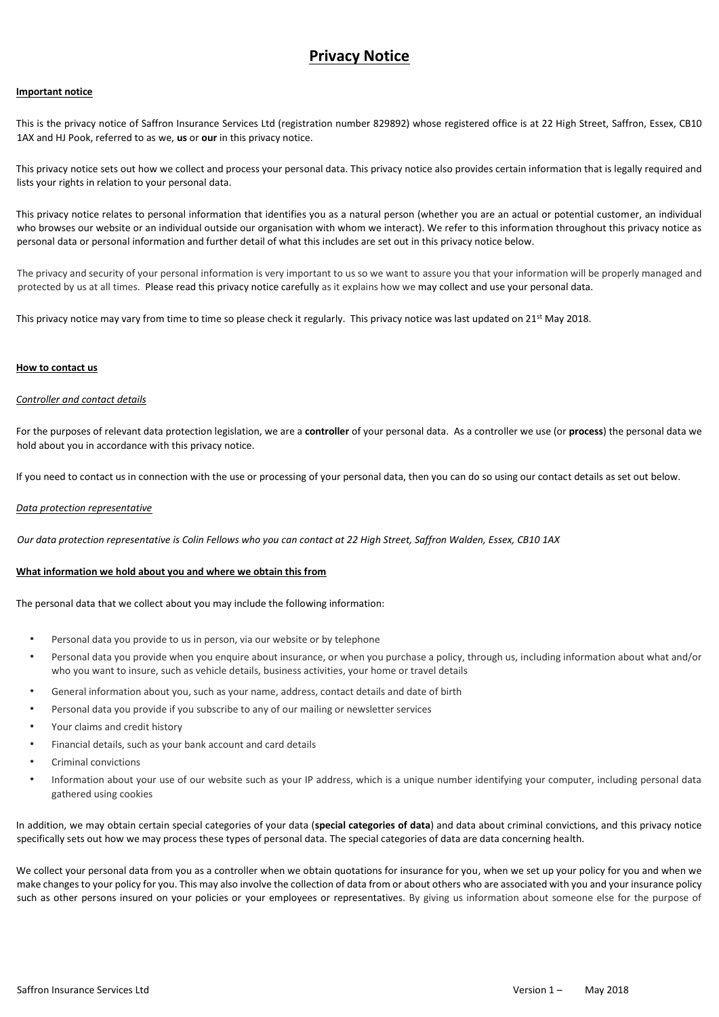# **Privacy Notice**

## **Important notice**

This is the privacy notice of Saffron Insurance Services Ltd (registration number 829892) whose registered office is at 22 High Street, Saffron, Essex, CB10 1AX and HJ Pook, referred to as we, **us** or **our** in this privacy notice.

This privacy notice sets out how we collect and process your personal data. This privacy notice also provides certain information that is legally required and lists your rights in relation to your personal data.

This privacy notice relates to personal information that identifies you as a natural person (whether you are an actual or potential customer, an individual who browses our website or an individual outside our organisation with whom we interact). We refer to this information throughout this privacy notice as personal data or personal information and further detail of what this includes are set out in this privacy notice below.

The privacy and security of your personal information is very important to us so we want to assure you that your information will be properly managed and protected by us at all times. Please read this privacy notice carefully as it explains how we may collect and use your personal data.

This privacy notice may vary from time to time so please check it regularly. This privacy notice was last updated on 21<sup>st</sup> May 2018.

# **How to contact us**

#### *Controller and contact details*

For the purposes of relevant data protection legislation, we are a **controller** of your personal data. As a controller we use (or **process**) the personal data we hold about you in accordance with this privacy notice.

If you need to contact us in connection with the use or processing of your personal data, then you can do so using our contact details as set out below.

#### *Data protection representative*

*Our data protection representative is Colin Fellows who you can contact at 22 High Street, Saffron Walden, Essex, CB10 1AX* 

#### **What information we hold about you and where we obtain this from**

The personal data that we collect about you may include the following information:

- Personal data you provide to us in person, via our website or by telephone
- Personal data you provide when you enquire about insurance, or when you purchase a policy, through us, including information about what and/or who you want to insure, such as vehicle details, business activities, your home or travel details
- General information about you, such as your name, address, contact details and date of birth
- Personal data you provide if you subscribe to any of our mailing or newsletter services
- Your claims and credit history
- Financial details, such as your bank account and card details
- Criminal convictions
- Information about your use of our website such as your IP address, which is a unique number identifying your computer, including personal data gathered using cookies

In addition, we may obtain certain special categories of your data (**special categories of data**) and data about criminal convictions, and this privacy notice specifically sets out how we may process these types of personal data. The special categories of data are data concerning health.

We collect your personal data from you as a controller when we obtain quotations for insurance for you, when we set up your policy for you and when we make changes to your policy for you. This may also involve the collection of data from or about others who are associated with you and your insurance policy such as other persons insured on your policies or your employees or representatives. By giving us information about someone else for the purpose of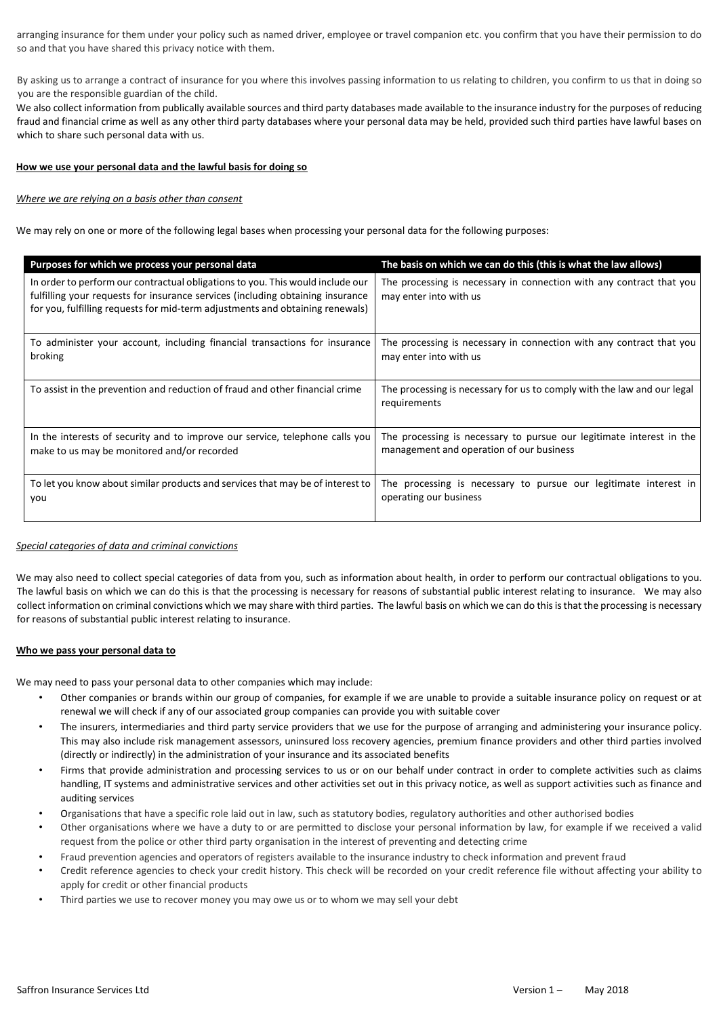arranging insurance for them under your policy such as named driver, employee or travel companion etc. you confirm that you have their permission to do so and that you have shared this privacy notice with them.

By asking us to arrange a contract of insurance for you where this involves passing information to us relating to children, you confirm to us that in doing so you are the responsible guardian of the child.

We also collect information from publically available sources and third party databases made available to the insurance industry for the purposes of reducing fraud and financial crime as well as any other third party databases where your personal data may be held, provided such third parties have lawful bases on which to share such personal data with us.

# **How we use your personal data and the lawful basis for doing so**

# *Where we are relying on a basis other than consent*

We may rely on one or more of the following legal bases when processing your personal data for the following purposes:

| Purposes for which we process your personal data                                                                                                                                                                                                  | The basis on which we can do this (this is what the law allows)                                |
|---------------------------------------------------------------------------------------------------------------------------------------------------------------------------------------------------------------------------------------------------|------------------------------------------------------------------------------------------------|
| In order to perform our contractual obligations to you. This would include our<br>fulfilling your requests for insurance services (including obtaining insurance<br>for you, fulfilling requests for mid-term adjustments and obtaining renewals) | The processing is necessary in connection with any contract that you<br>may enter into with us |
| To administer your account, including financial transactions for insurance                                                                                                                                                                        | The processing is necessary in connection with any contract that you                           |
| broking                                                                                                                                                                                                                                           | may enter into with us                                                                         |
| To assist in the prevention and reduction of fraud and other financial crime                                                                                                                                                                      | The processing is necessary for us to comply with the law and our legal<br>requirements        |
| In the interests of security and to improve our service, telephone calls you                                                                                                                                                                      | The processing is necessary to pursue our legitimate interest in the                           |
| make to us may be monitored and/or recorded                                                                                                                                                                                                       | management and operation of our business                                                       |
| To let you know about similar products and services that may be of interest to                                                                                                                                                                    | The processing is necessary to pursue our legitimate interest in                               |
| you                                                                                                                                                                                                                                               | operating our business                                                                         |

# *Special categories of data and criminal convictions*

We may also need to collect special categories of data from you, such as information about health, in order to perform our contractual obligations to you. The lawful basis on which we can do this is that the processing is necessary for reasons of substantial public interest relating to insurance. We may also collect information on criminal convictions which we may share with third parties. The lawful basis on which we can do this is that the processing is necessary for reasons of substantial public interest relating to insurance.

#### **Who we pass your personal data to**

We may need to pass your personal data to other companies which may include:

- Other companies or brands within our group of companies, for example if we are unable to provide a suitable insurance policy on request or at renewal we will check if any of our associated group companies can provide you with suitable cover
- The insurers, intermediaries and third party service providers that we use for the purpose of arranging and administering your insurance policy. This may also include risk management assessors, uninsured loss recovery agencies, premium finance providers and other third parties involved (directly or indirectly) in the administration of your insurance and its associated benefits
- Firms that provide administration and processing services to us or on our behalf under contract in order to complete activities such as claims handling, IT systems and administrative services and other activities set out in this privacy notice, as well as support activities such as finance and auditing services
- Organisations that have a specific role laid out in law, such as statutory bodies, regulatory authorities and other authorised bodies
- Other organisations where we have a duty to or are permitted to disclose your personal information by law, for example if we received a valid request from the police or other third party organisation in the interest of preventing and detecting crime
- Fraud prevention agencies and operators of registers available to the insurance industry to check information and prevent fraud
- Credit reference agencies to check your credit history. This check will be recorded on your credit reference file without affecting your ability to apply for credit or other financial products
- Third parties we use to recover money you may owe us or to whom we may sell your debt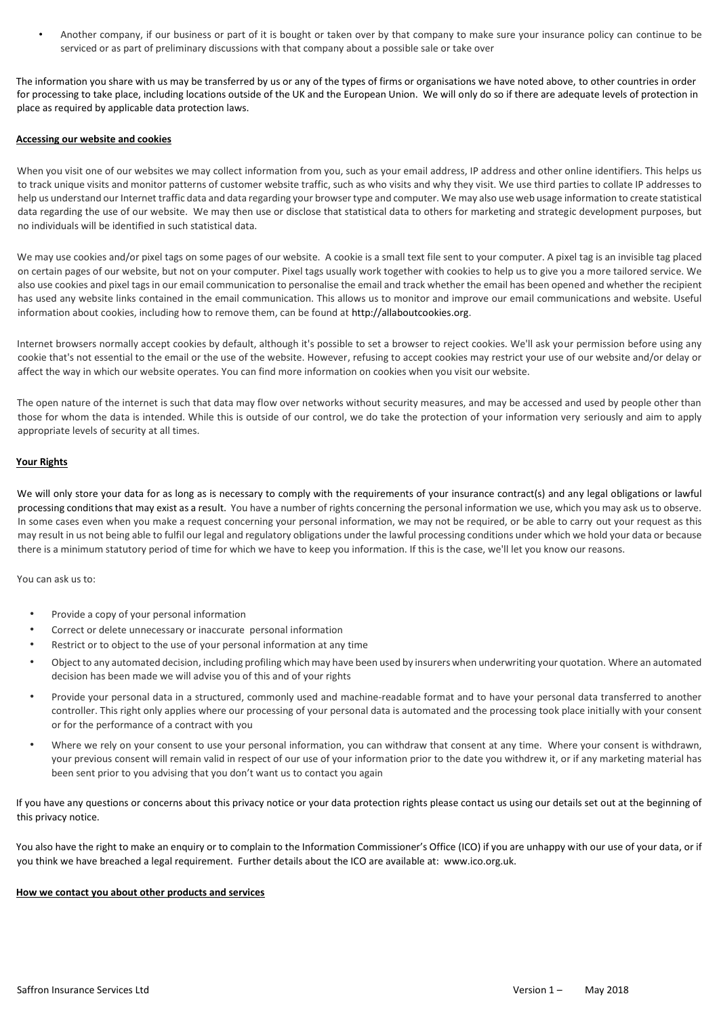• Another company, if our business or part of it is bought or taken over by that company to make sure your insurance policy can continue to be serviced or as part of preliminary discussions with that company about a possible sale or take over

The information you share with us may be transferred by us or any of the types of firms or organisations we have noted above, to other countries in order for processing to take place, including locations outside of the UK and the European Union. We will only do so if there are adequate levels of protection in place as required by applicable data protection laws.

# **Accessing our website and cookies**

When you visit one of our websites we may collect information from you, such as your email address, IP address and other online identifiers. This helps us to track unique visits and monitor patterns of customer website traffic, such as who visits and why they visit. We use third parties to collate IP addresses to help us understand our Internet traffic data and data regarding your browser type and computer. We may also use web usage information to create statistical data regarding the use of our website. We may then use or disclose that statistical data to others for marketing and strategic development purposes, but no individuals will be identified in such statistical data.

We may use cookies and/or pixel tags on some pages of our website. A cookie is a small text file sent to your computer. A pixel tag is an invisible tag placed on certain pages of our website, but not on your computer. Pixel tags usually work together with cookies to help us to give you a more tailored service. We also use cookies and pixel tags in our email communication to personalise the email and track whether the email has been opened and whether the recipient has used any website links contained in the email communication. This allows us to monitor and improve our email communications and website. Useful information about cookies, including how to remove them, can be found at http://allaboutcookies.org.

Internet browsers normally accept cookies by default, although it's possible to set a browser to reject cookies. We'll ask your permission before using any cookie that's not essential to the email or the use of the website. However, refusing to accept cookies may restrict your use of our website and/or delay or affect the way in which our website operates. You can find more information on cookies when you visit our website.

The open nature of the internet is such that data may flow over networks without security measures, and may be accessed and used by people other than those for whom the data is intended. While this is outside of our control, we do take the protection of your information very seriously and aim to apply appropriate levels of security at all times.

# **Your Rights**

We will only store your data for as long as is necessary to comply with the requirements of your insurance contract(s) and any legal obligations or lawful processing conditions that may exist as a result. You have a number of rights concerning the personal information we use, which you may ask us to observe. In some cases even when you make a request concerning your personal information, we may not be required, or be able to carry out your request as this may result in us not being able to fulfil our legal and regulatory obligations under the lawful processing conditions under which we hold your data or because there is a minimum statutory period of time for which we have to keep you information. If this is the case, we'll let you know our reasons.

You can ask us to:

- Provide a copy of your personal information
- Correct or delete unnecessary or inaccurate personal information
- Restrict or to object to the use of your personal information at any time
- Object to any automated decision, including profiling which may have been used by insurers when underwriting your quotation. Where an automated decision has been made we will advise you of this and of your rights
- Provide your personal data in a structured, commonly used and machine-readable format and to have your personal data transferred to another controller. This right only applies where our processing of your personal data is automated and the processing took place initially with your consent or for the performance of a contract with you
- Where we rely on your consent to use your personal information, you can withdraw that consent at any time. Where your consent is withdrawn, your previous consent will remain valid in respect of our use of your information prior to the date you withdrew it, or if any marketing material has been sent prior to you advising that you don't want us to contact you again

If you have any questions or concerns about this privacy notice or your data protection rights please contact us using our details set out at the beginning of this privacy notice.

You also have the right to make an enquiry or to complain to the Information Commissioner's Office (ICO) if you are unhappy with our use of your data, or if you think we have breached a legal requirement. Further details about the ICO are available at: www.ico.org.uk.

#### **How we contact you about other products and services**